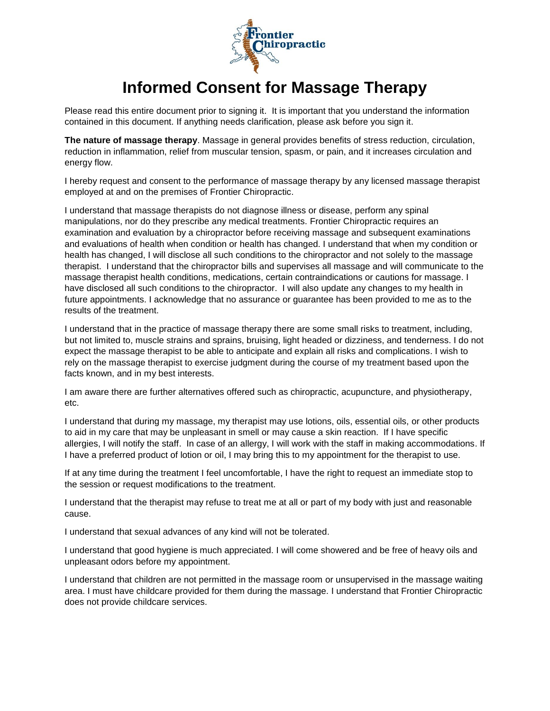

## **Informed Consent for Massage Therapy**

Please read this entire document prior to signing it. It is important that you understand the information contained in this document. If anything needs clarification, please ask before you sign it.

**The nature of massage therapy**. Massage in general provides benefits of stress reduction, circulation, reduction in inflammation, relief from muscular tension, spasm, or pain, and it increases circulation and energy flow.

I hereby request and consent to the performance of massage therapy by any licensed massage therapist employed at and on the premises of Frontier Chiropractic.

I understand that massage therapists do not diagnose illness or disease, perform any spinal manipulations, nor do they prescribe any medical treatments. Frontier Chiropractic requires an examination and evaluation by a chiropractor before receiving massage and subsequent examinations and evaluations of health when condition or health has changed. I understand that when my condition or health has changed, I will disclose all such conditions to the chiropractor and not solely to the massage therapist. I understand that the chiropractor bills and supervises all massage and will communicate to the massage therapist health conditions, medications, certain contraindications or cautions for massage. I have disclosed all such conditions to the chiropractor. I will also update any changes to my health in future appointments. I acknowledge that no assurance or guarantee has been provided to me as to the results of the treatment.

I understand that in the practice of massage therapy there are some small risks to treatment, including, but not limited to, muscle strains and sprains, bruising, light headed or dizziness, and tenderness. I do not expect the massage therapist to be able to anticipate and explain all risks and complications. I wish to rely on the massage therapist to exercise judgment during the course of my treatment based upon the facts known, and in my best interests.

I am aware there are further alternatives offered such as chiropractic, acupuncture, and physiotherapy, etc.

I understand that during my massage, my therapist may use lotions, oils, essential oils, or other products to aid in my care that may be unpleasant in smell or may cause a skin reaction. If I have specific allergies, I will notify the staff. In case of an allergy, I will work with the staff in making accommodations. If I have a preferred product of lotion or oil, I may bring this to my appointment for the therapist to use.

If at any time during the treatment I feel uncomfortable, I have the right to request an immediate stop to the session or request modifications to the treatment.

I understand that the therapist may refuse to treat me at all or part of my body with just and reasonable cause.

I understand that sexual advances of any kind will not be tolerated.

I understand that good hygiene is much appreciated. I will come showered and be free of heavy oils and unpleasant odors before my appointment.

I understand that children are not permitted in the massage room or unsupervised in the massage waiting area. I must have childcare provided for them during the massage. I understand that Frontier Chiropractic does not provide childcare services.